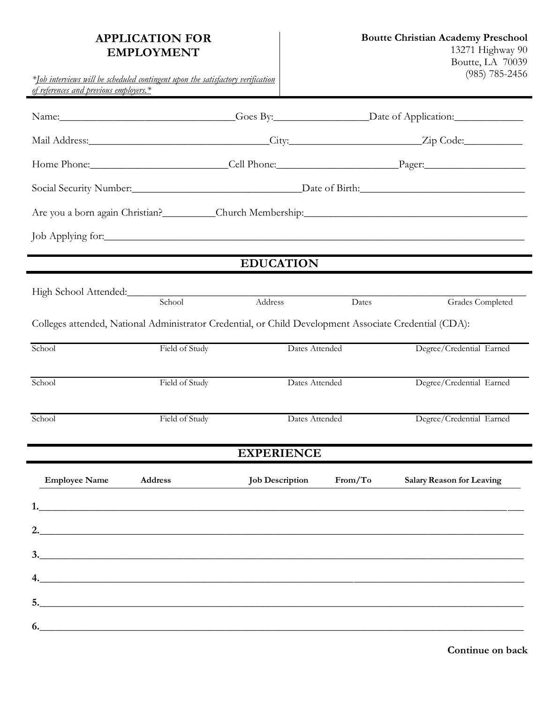## **APPLICATION FOR EMPLOYMENT**

*\*Job interviews will be scheduled contingent upon the satisfactory verification* 

| of references and previous employers.* |                                                                                                        |                        |         |                                                       |
|----------------------------------------|--------------------------------------------------------------------------------------------------------|------------------------|---------|-------------------------------------------------------|
|                                        |                                                                                                        |                        |         | Name: Coes By: Coes By: Date of Application:          |
|                                        |                                                                                                        |                        |         |                                                       |
| Home Phone: Cell Phone: Pager: Pager:  |                                                                                                        |                        |         |                                                       |
|                                        |                                                                                                        |                        |         | Social Security Number: Date of Birth: Date of Birth: |
|                                        |                                                                                                        |                        |         |                                                       |
|                                        |                                                                                                        |                        |         | Job Applying for:                                     |
|                                        |                                                                                                        | <b>EDUCATION</b>       |         |                                                       |
|                                        | High School Attended:<br><u>Internal Automobility</u>                                                  |                        |         |                                                       |
|                                        | School                                                                                                 | Address                | Dates   | Grades Completed                                      |
|                                        | Colleges attended, National Administrator Credential, or Child Development Associate Credential (CDA): |                        |         |                                                       |
| School                                 | Field of Study                                                                                         | Dates Attended         |         | Degree/Credential Earned                              |
| School                                 | Field of Study                                                                                         | Dates Attended         |         | Degree/Credential Earned                              |
| School                                 | Field of Study                                                                                         | Dates Attended         |         | Degree/Credential Earned                              |
|                                        |                                                                                                        | <b>EXPERIENCE</b>      |         |                                                       |
| <b>Employee Name</b>                   | Address                                                                                                | <b>Job Description</b> | From/To | <b>Salary Reason for Leaving</b>                      |
|                                        |                                                                                                        |                        |         |                                                       |
|                                        |                                                                                                        |                        |         |                                                       |
|                                        |                                                                                                        |                        |         | 3.                                                    |
|                                        | $\overline{a}$ .                                                                                       |                        |         |                                                       |
|                                        |                                                                                                        |                        |         |                                                       |
|                                        | 6.                                                                                                     |                        |         |                                                       |
|                                        |                                                                                                        |                        |         |                                                       |